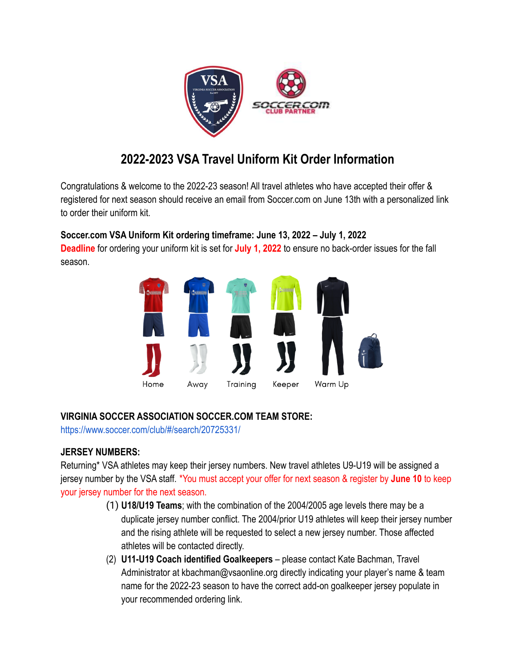

# **2022-2023 VSA Travel Uniform Kit Order Information**

Congratulations & welcome to the 2022-23 season! All travel athletes who have accepted their offer & registered for next season should receive an email from Soccer.com on June 13th with a personalized link to order their uniform kit.

# **Soccer.com VSA Uniform Kit ordering timeframe: June 13, 2022 – July 1, 2022**

**Deadline** for ordering your uniform kit is set for **July 1, 2022** to ensure no back-order issues for the fall season.



## **VIRGINIA SOCCER ASSOCIATION SOCCER.COM TEAM STORE:**

<https://www.soccer.com/club/#/search/20725331/>

## **JERSEY NUMBERS:**

Returning\* VSA athletes may keep their jersey numbers. New travel athletes U9-U19 will be assigned a jersey number by the VSA staff. \*You must accept your offer for next season & register by **June 10** to keep your jersey number for the next season.

- (1) **U18/U19 Teams**; with the combination of the 2004/2005 age levels there may be a duplicate jersey number conflict. The 2004/prior U19 athletes will keep their jersey number and the rising athlete will be requested to select a new jersey number. Those affected athletes will be contacted directly.
- (2) **U11-U19 Coach identified Goalkeepers** please contact Kate Bachman, Travel Administrator at kbachman@vsaonline.org directly indicating your player's name & team name for the 2022-23 season to have the correct add-on goalkeeper jersey populate in your recommended ordering link.